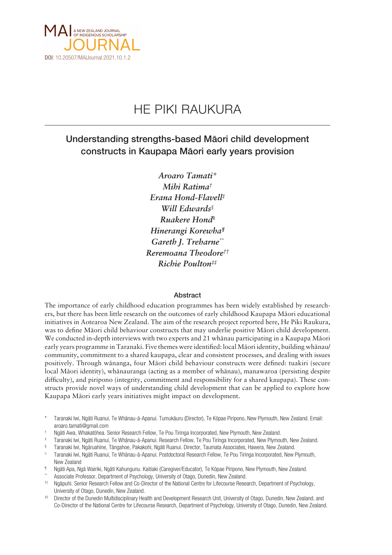

# HE PIKI RAUKURA

# Understanding strengths-based Mäori child development constructs in Kaupapa Mäori early years provision

*Aroaro Tamati\* Mihi Ratima† Erana Hond-Flavell‡ Will Edwards§ Ruakere Hond|| Hinerangi Korewha¶ Gareth J. Treharne\*\* Reremoana Theodore†† Richie Poulton‡‡*

#### Abstract

The importance of early childhood education programmes has been widely established by researchers, but there has been little research on the outcomes of early childhood Kaupapa Mäori educational initiatives in Aotearoa New Zealand. The aim of the research project reported here, He Piki Raukura, was to define Mäori child behaviour constructs that may underlie positive Mäori child development. We conducted in-depth interviews with two experts and 21 whänau participating in a Kaupapa Mäori early years programme in Taranaki. Five themes were identified: local Mäori identity, building whänau/ community, commitment to a shared kaupapa, clear and consistent processes, and dealing with issues positively. Through wänanga, four Mäori child behaviour constructs were defined: tuakiri (secure local Mäori identity), whänauranga (acting as a member of whänau), manawaroa (persisting despite difficulty), and piripono (integrity, commitment and responsibility for a shared kaupapa). These constructs provide novel ways of understanding child development that can be applied to explore how Kaupapa Mäori early years initiatives might impact on development.

\* Taranaki Iwi, Ngäti Ruanui, Te Whänau-ä-Apanui. Tumukäuru (Director), Te Köpae Piripono, New Plymouth, New Zealand. Email: aroaro.tamati@gmail.com

- † Ngäti Awa, Whakatöhea. Senior Research Fellow, Te Pou Tiringa Incorporated, New Plymouth, New Zealand.
- ‡ Taranaki Iwi, Ngäti Ruanui, Te Whänau-ä-Apanui. Research Fellow, Te Pou Tiringa Incorporated, New Plymouth, New Zealand.
- § Taranaki Iwi, Ngäruahine, Tängahoe, Pakakohi, Ngäti Ruanui. Director, Taumata Associates, Hawera, New Zealand.
- || Taranaki Iwi, Ngäti Ruanui, Te Whänau-ä-Apanui. Postdoctoral Research Fellow, Te Pou Tiringa Incorporated, New Plymouth, New Zealand
- ¶ Ngäti Apa, Ngä Wairiki, Ngäti Kahungunu. Kaitiaki (Caregiver/Educator), Te Köpae Piripono, New Plymouth, New Zealand.
- Associate Professor, Department of Psychology, University of Otago, Dunedin, New Zealand.
- †† Ngäpuhi. Senior Research Fellow and Co-Director of the National Centre for Lifecourse Research, Department of Psychology, University of Otago, Dunedin, New Zealand.
- # Director of the Dunedin Multidisciplinary Health and Development Research Unit, University of Otago, Dunedin, New Zealand, and Co-Director of the National Centre for Lifecourse Research, Department of Psychology, University of Otago, Dunedin, New Zealand.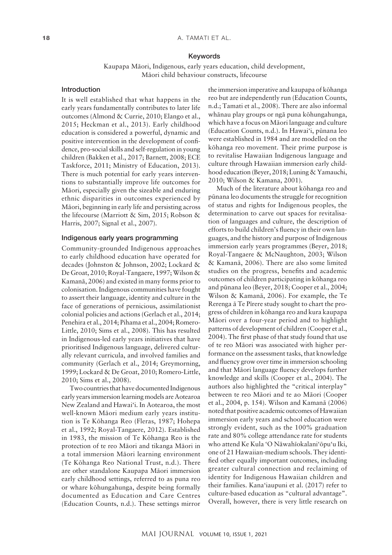#### 18 A. TAMATI ET AL.

#### Keywords

Kaupapa Mäori, Indigenous, early years education, child development, Mäori child behaviour constructs, lifecourse

## Introduction

It is well established that what happens in the early years fundamentally contributes to later life outcomes (Almond & Currie, 2010; Elango et al., 2015; Heckman et al., 2013). Early childhood education is considered a powerful, dynamic and positive intervention in the development of confidence, pro-social skills and self-regulation in young children (Bakken et al., 2017; Barnett, 2008; ECE Taskforce, 2011; Ministry of Education, 2013). There is much potential for early years interventions to substantially improve life outcomes for Mäori, especially given the sizeable and enduring ethnic disparities in outcomes experienced by Mäori, beginning in early life and persisting across the lifecourse (Marriott & Sim, 2015; Robson & Harris, 2007; Signal et al., 2007).

#### Indigenous early years programming

Community-grounded Indigenous approaches to early childhood education have operated for decades (Johnston & Johnson, 2002; Lockard & De Groat, 2010; Royal-Tangaere, 1997; Wilson & Kamanä, 2006) and existed in many forms prior to colonisation. Indigenous communities have fought to assert their language, identity and culture in the face of generations of pernicious, assimilationist colonial policies and actions (Gerlach et al., 2014; Penehira et al., 2014; Pihama et al., 2004; Romero-Little, 2010; Sims et al., 2008). This has resulted in Indigenous-led early years initiatives that have prioritised Indigenous language, delivered culturally relevant curricula, and involved families and community (Gerlach et al., 2014; Greymorning, 1999; Lockard & De Groat, 2010; Romero-Little, 2010; Sims et al., 2008).

Two countries that have documented Indigenous early years immersion learning models are Aotearoa New Zealand and Hawai'i. In Aotearoa, the most well-known Mäori medium early years institution is Te Köhanga Reo (Fleras, 1987; Hohepa et al., 1992; Royal-Tangaere, 2012). Established in 1983, the mission of Te Köhanga Reo is the protection of te reo Mäori and tikanga Mäori in a total immersion Mäori learning environment (Te Köhanga Reo National Trust, n.d.). There are other standalone Kaupapa Mäori immersion early childhood settings, referred to as puna reo or whare köhungahunga, despite being formally documented as Education and Care Centres (Education Counts, n.d.). These settings mirror

the immersion imperative and kaupapa of köhanga reo but are independently run (Education Counts, n.d.; Tamati et al., 2008). There are also informal whänau play groups or ngä puna köhungahunga, which have a focus on Mäori language and culture (Education Counts, n.d.). In Hawai'i, pünana leo were established in 1984 and are modelled on the köhanga reo movement. Their prime purpose is to revitalise Hawaiian Indigenous language and culture through Hawaiian immersion early childhood education (Beyer, 2018; Luning & Yamauchi, 2010; Wilson & Kamana, 2001).

Much of the literature about köhanga reo and pünana leo documents the struggle for recognition of status and rights for Indigenous peoples, the determination to carve out spaces for revitalisation of languages and culture, the description of efforts to build children's fluency in their own languages, and the history and purpose of Indigenous immersion early years programmes (Beyer, 2018; Royal-Tangaere & McNaughton, 2003; Wilson & Kamanä, 2006). There are also some limited studies on the progress, benefits and academic outcomes of children participating in köhanga reo and pünana leo (Beyer, 2018; Cooper et al., 2004; Wilson & Kamanä, 2006). For example, the Te Rerenga ä Te Pïrere study sought to chart the progress of children in köhanga reo and kura kaupapa Mäori over a four-year period and to highlight patterns of development of children (Cooper et al., 2004). The first phase of that study found that use of te reo Mäori was associated with higher performance on the assessment tasks, that knowledge and fluency grow over time in immersion schooling and that Mäori language fluency develops further knowledge and skills (Cooper et al., 2004). The authors also highlighted the "critical interplay" between te reo Mäori and te ao Mäori (Cooper et al., 2004, p. 154). Wilson and Kamanä (2006) noted that positive academic outcomes of Hawaiian immersion early years and school education were strongly evident, such as the 100% graduation rate and 80% college attendance rate for students who attend Ke Kula 'O Näwahïokalani'öpu'u Iki, one of 21 Hawaiian-medium schools. They identified other equally important outcomes, including greater cultural connection and reclaiming of identity for Indigenous Hawaiian children and their families. Kana'iaupuni et al. (2017) refer to culture-based education as "cultural advantage". Overall, however, there is very little research on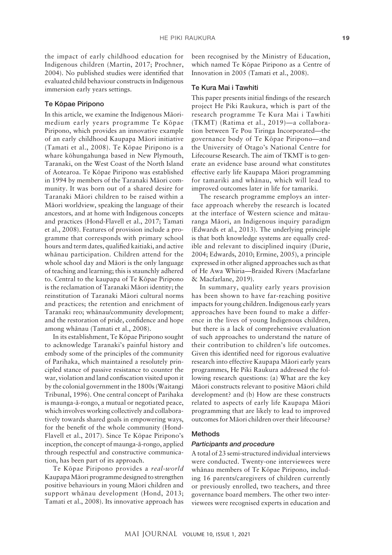the impact of early childhood education for Indigenous children (Martin, 2017; Prochner, 2004). No published studies were identified that evaluated child behaviour constructs in Indigenous immersion early years settings.

#### Te Köpae Piripono

In this article, we examine the Indigenous Mäorimedium early years programme Te Köpae Piripono, which provides an innovative example of an early childhood Kaupapa Mäori initiative (Tamati et al., 2008). Te Köpae Piripono is a whare köhungahunga based in New Plymouth, Taranaki, on the West Coast of the North Island of Aotearoa. Te Köpae Piripono was established in 1994 by members of the Taranaki Mäori community. It was born out of a shared desire for Taranaki Mäori children to be raised within a Mäori worldview, speaking the language of their ancestors, and at home with Indigenous concepts and practices (Hond-Flavell et al., 2017; Tamati et al., 2008). Features of provision include a programme that corresponds with primary school hours and term dates, qualified kaitiaki, and active whänau participation. Children attend for the whole school day and Mäori is the only language of teaching and learning; this is staunchly adhered to. Central to the kaupapa of Te Köpae Piripono is the reclamation of Taranaki Mäori identity; the reinstitution of Taranaki Mäori cultural norms and practices; the retention and enrichment of Taranaki reo; whänau/community development; and the restoration of pride, confidence and hope among whänau (Tamati et al., 2008).

In its establishment, Te Köpae Piripono sought to acknowledge Taranaki's painful history and embody some of the principles of the community of Parihaka, which maintained a resolutely principled stance of passive resistance to counter the war, violation and land confiscation visited upon it by the colonial government in the 1800s (Waitangi Tribunal, 1996). One central concept of Parihaka is maunga-ä-rongo, a mutual or negotiated peace, which involves working collectively and collaboratively towards shared goals in empowering ways, for the benefit of the whole community (Hond-Flavell et al., 2017). Since Te Köpae Piripono's inception, the concept of maunga-ä-rongo, applied through respectful and constructive communication, has been part of its approach.

Te Köpae Piripono provides a *real-world* Kaupapa Mäori programme designed to strengthen positive behaviours in young Mäori children and support whänau development (Hond, 2013; Tamati et al., 2008). Its innovative approach has

been recognised by the Ministry of Education, which named Te Köpae Piripono as a Centre of Innovation in 2005 (Tamati et al., 2008).

#### Te Kura Mai i Tawhiti

This paper presents initial findings of the research project He Piki Raukura, which is part of the research programme Te Kura Mai i Tawhiti (TKMT) (Ratima et al., 2019)—a collaboration between Te Pou Tiringa Incorporated—the governance body of Te Köpae Piripono—and the University of Otago's National Centre for Lifecourse Research. The aim of TKMT is to generate an evidence base around what constitutes effective early life Kaupapa Mäori programming for tamariki and whänau, which will lead to improved outcomes later in life for tamariki.

The research programme employs an interface approach whereby the research is located at the interface of Western science and mätauranga Mäori, an Indigenous inquiry paradigm (Edwards et al., 2013). The underlying principle is that both knowledge systems are equally credible and relevant to disciplined inquiry (Durie, 2004; Edwards, 2010; Ermine, 2005), a principle expressed in other aligned approaches such as that of He Awa Whiria—Braided Rivers (Macfarlane & Macfarlane, 2019).

In summary, quality early years provision has been shown to have far-reaching positive impacts for young children. Indigenous early years approaches have been found to make a difference in the lives of young Indigenous children, but there is a lack of comprehensive evaluation of such approaches to understand the nature of their contribution to children's life outcomes. Given this identified need for rigorous evaluative research into effective Kaupapa Mäori early years programmes, He Piki Raukura addressed the following research questions: (a) What are the key Mäori constructs relevant to positive Mäori child development? and (b) How are these constructs related to aspects of early life Kaupapa Mäori programming that are likely to lead to improved outcomes for Mäori children over their lifecourse?

#### Methods

#### *Participants and procedure*

A total of 23 semi-structured individual interviews were conducted. Twenty-one interviewees were whänau members of Te Köpae Piripono, including 16 parents/caregivers of children currently or previously enrolled, two teachers, and three governance board members. The other two interviewees were recognised experts in education and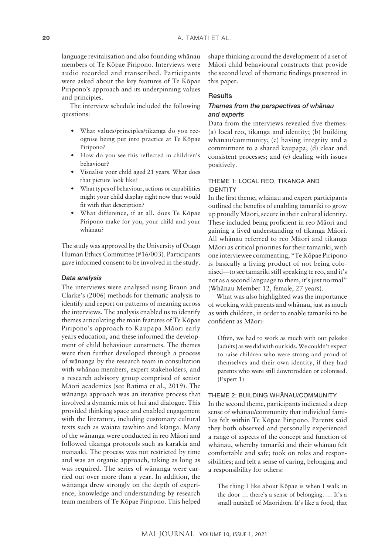language revitalisation and also founding whänau members of Te Köpae Piripono. Interviews were audio recorded and transcribed. Participants were asked about the key features of Te Köpae Piripono's approach and its underpinning values and principles.

The interview schedule included the following questions:

- What values/principles/tikanga do you recognise being put into practice at Te Köpae Piripono?
- How do you see this reflected in children's behaviour?
- Visualise your child aged 21 years. What does that picture look like?
- What types of behaviour, actions or capabilities might your child display right now that would fit with that description?
- What difference, if at all, does Te Köpae Piripono make for you, your child and your whänau?

The study was approved by the University of Otago Human Ethics Committee (#16/003). Participants gave informed consent to be involved in the study.

#### *Data analysis*

The interviews were analysed using Braun and Clarke's (2006) methods for thematic analysis to identify and report on patterns of meaning across the interviews. The analysis enabled us to identify themes articulating the main features of Te Köpae Piripono's approach to Kaupapa Mäori early years education, and these informed the development of child behaviour constructs. The themes were then further developed through a process of wänanga by the research team in consultation with whänau members, expert stakeholders, and a research advisory group comprised of senior Mäori academics (see Ratima et al., 2019). The wänanga approach was an iterative process that involved a dynamic mix of hui and dialogue. This provided thinking space and enabled engagement with the literature, including customary cultural texts such as waiata tawhito and kïanga. Many of the wänanga were conducted in reo Mäori and followed tikanga protocols such as karakia and manaaki. The process was not restricted by time and was an organic approach, taking as long as was required. The series of wänanga were carried out over more than a year. In addition, the wänanga drew strongly on the depth of experience, knowledge and understanding by research team members of Te Köpae Piripono. This helped shape thinking around the development of a set of Mäori child behavioural constructs that provide the second level of thematic findings presented in this paper.

#### **Results**

#### *Themes from the perspectives of whänau and experts*

Data from the interviews revealed five themes: (a) local reo, tikanga and identity; (b) building whänau/community; (c) having integrity and a commitment to a shared kaupapa; (d) clear and consistent processes; and (e) dealing with issues positively.

#### THEME 1: LOCAL REO, TIKANGA AND IDENTITY

In the first theme, whänau and expert participants outlined the benefits of enabling tamariki to grow up proudly Mäori, secure in their cultural identity. These included being proficient in reo Mäori and gaining a lived understanding of tikanga Mäori. All whänau referred to reo Mäori and tikanga Mäori as critical priorities for their tamariki, with one interviewee commenting, "Te Köpae Piripono is basically a living product of not being colonised—to see tamariki still speaking te reo, and it's not as a second language to them, it's just normal" (Whänau Member 12, female, 27 years).

What was also highlighted was the importance of working with parents and whänau, just as much as with children, in order to enable tamariki to be confident as Mäori:

Often, we had to work as much with our pakeke [adults] as we did with our kids. We couldn't expect to raise children who were strong and proud of themselves and their own identity, if they had parents who were still downtrodden or colonised. (Expert 1)

#### THEME 2: BUILDING WHÄNAU/COMMUNITY

In the second theme, participants indicated a deep sense of whänau/community that individual families felt within Te Köpae Piripono. Parents said they both observed and personally experienced a range of aspects of the concept and function of whänau, whereby tamariki and their whänau felt comfortable and safe; took on roles and responsibilities; and felt a sense of caring, belonging and a responsibility for others:

The thing I like about Köpae is when I walk in the door … there's a sense of belonging. … It's a small nutshell of Mäoridom. It's like a food, that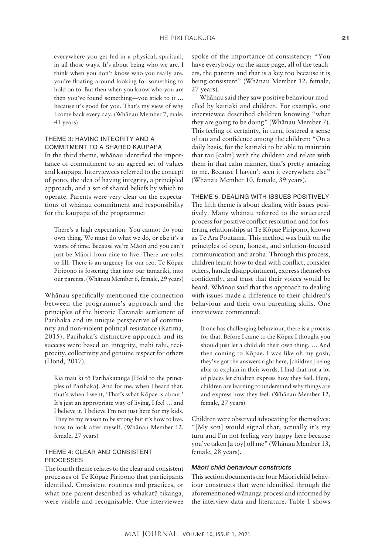everywhere you get fed in a physical, spiritual, in all those ways. It's about being who we are. I think when you don't know who you really are, you're floating around looking for something to hold on to. But then when you know who you are then you've found something—you stick to it … because it's good for you. That's my view of why I come back every day. (Whänau Member 7, male, 41 years)

#### THEME 3: HAVING INTEGRITY AND A COMMITMENT TO A SHARED KAUPAPA

In the third theme, whänau identified the importance of commitment to an agreed set of values and kaupapa. Interviewees referred to the concept of pono, the idea of having integrity, a principled approach, and a set of shared beliefs by which to operate. Parents were very clear on the expectations of whänau commitment and responsibility for the kaupapa of the programme:

There's a high expectation. You cannot do your own thing. We must do what we do, or else it's a waste of time. Because we're Mäori and you can't just be Mäori from nine to five. There are roles to fill. There is an urgency for our reo. Te Köpae Piripono is fostering that into our tamariki, into our parents. (Whänau Member 6, female, 29 years)

Whänau specifically mentioned the connection between the programme's approach and the principles of the historic Taranaki settlement of Parihaka and its unique perspective of community and non-violent political resistance (Ratima, 2015). Parihaka's distinctive approach and its success were based on integrity, mahi tahi, reciprocity, collectivity and genuine respect for others (Hond, 2017).

Kia mau ki tö Parihakatanga [Hold to the principles of Parihaka]. And for me, when I heard that, that's when I went, 'That's what Köpae is about.' It's just an appropriate way of living, I feel … and I believe it. I believe I'm not just here for my kids. They're my reason to be strong but it's how to live, how to look after myself. (Whänau Member 12, female, 27 years)

# THEME 4: CLEAR AND CONSISTENT PROCESSES

The fourth theme relates to the clear and consistent processes of Te Köpae Piripono that participants identified. Consistent routines and practices, or what one parent described as whakatü tikanga, were visible and recognisable. One interviewee spoke of the importance of consistency: "You have everybody on the same page, all of the teachers, the parents and that is a key too because it is being consistent" (Whänau Member 12, female, 27 years).

Whänau said they saw positive behaviour modelled by kaitiaki and children. For example, one interviewee described children knowing "what they are going to be doing" (Whänau Member 7). This feeling of certainty, in turn, fostered a sense of tau and confidence among the children: "On a daily basis, for the kaitiaki to be able to maintain that tau [calm] with the children and relate with them in that calm manner, that's pretty amazing to me. Because I haven't seen it everywhere else" (Whänau Member 10, female, 39 years).

# THEME 5: DEALING WITH ISSUES POSITIVELY

The fifth theme is about dealing with issues positively. Many whänau referred to the structured process for positive conflict resolution and for fostering relationships at Te Köpae Piripono, known as Te Ara Poutama. This method was built on the principles of open, honest, and solution-focused communication and aroha. Through this process, children learnt how to deal with conflict, consider others, handle disappointment, express themselves confidently, and trust that their voices would be heard. Whänau said that this approach to dealing with issues made a difference to their children's behaviour and their own parenting skills. One interviewee commented:

If one has challenging behaviour, there is a process for that. Before I came to the Köpae I thought you should just let a child do their own thing. … And then coming to Köpae, I was like oh my gosh, they've got the answers right here, [children] being able to explain in their words. I find that not a lot of places let children express how they feel. Here, children are learning to understand why things are and express how they feel. (Whänau Member 12, female, 27 years)

Children were observed advocating for themselves: "[My son] would signal that, actually it's my turn and I'm not feeling very happy here because you've taken [a toy] off me" (Whänau Member 13, female, 28 years).

#### *Ma¯ ori child behaviour constructs*

This section documents the four Mäori child behaviour constructs that were identified through the aforementioned wänanga process and informed by the interview data and literature. Table 1 shows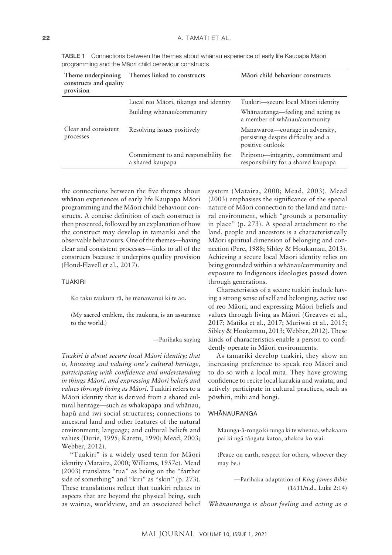| Theme underpinning<br>constructs and quality<br>provision | Themes linked to constructs                              | Māori child behaviour constructs                                                           |
|-----------------------------------------------------------|----------------------------------------------------------|--------------------------------------------------------------------------------------------|
|                                                           | Local reo Māori, tikanga and identity                    | Tuakiri—secure local Māori identity                                                        |
|                                                           | Building whanau/community                                | Whānauranga—feeling and acting as<br>a member of whanau/community                          |
| Clear and consistent<br>processes                         | Resolving issues positively                              | Manawaroa-courage in adversity,<br>persisting despite difficulty and a<br>positive outlook |
|                                                           | Commitment to and responsibility for<br>a shared kaupapa | Piripono—integrity, commitment and<br>responsibility for a shared kaupapa                  |

TABLE 1 Connections between the themes about whänau experience of early life Kaupapa Mäori programming and the Mäori child behaviour constructs

the connections between the five themes about whänau experiences of early life Kaupapa Mäori programming and the Mäori child behaviour constructs. A concise definition of each construct is then presented, followed by an explanation of how the construct may develop in tamariki and the observable behaviours. One of the themes—having clear and consistent processes—links to all of the constructs because it underpins quality provision (Hond-Flavell et al., 2017).

#### TUAKIRI

Ko taku raukura rä, he manawanui ki te ao.

(My sacred emblem, the raukura, is an assurance to the world.)

—Parihaka saying

*Tuakiri is about secure local Mäori identity; that is, knowing and valuing one's cultural heritage, participating with confidence and understanding in things Mäori, and expressing Mäori beliefs and values through living as Mäori.* Tuakiri refers to a Mäori identity that is derived from a shared cultural heritage—such as whakapapa and whänau, hapü and iwi social structures; connections to ancestral land and other features of the natural environment; language; and cultural beliefs and values (Durie, 1995; Karetu, 1990; Mead, 2003; Webber, 2012).

"Tuakiri" is a widely used term for Mäori identity (Mataira, 2000; Williams, 1957c). Mead (2003) translates "tua" as being on the "farther side of something" and "kiri" as "skin" (p. 273). These translations reflect that tuakiri relates to aspects that are beyond the physical being, such as wairua, worldview, and an associated belief system (Mataira, 2000; Mead, 2003). Mead (2003) emphasises the significance of the special nature of Mäori connection to the land and natural environment, which "grounds a personality in place" (p. 273). A special attachment to the land, people and ancestors is a characteristically Mäori spiritual dimension of belonging and connection (Pere, 1988; Sibley & Houkamau, 2013). Achieving a secure local Mäori identity relies on being grounded within a whänau/community and exposure to Indigenous ideologies passed down through generations.

Characteristics of a secure tuakiri include having a strong sense of self and belonging, active use of reo Mäori, and expressing Mäori beliefs and values through living as Mäori (Greaves et al., 2017; Matika et al., 2017; Muriwai et al., 2015; Sibley & Houkamau, 2013; Webber, 2012). These kinds of characteristics enable a person to confidently operate in Mäori environments.

As tamariki develop tuakiri, they show an increasing preference to speak reo Mäori and to do so with a local mita. They have growing confidence to recite local karakia and waiata, and actively participate in cultural practices, such as pöwhiri, mihi and hongi.

#### WHÄNAURANGA

Maunga-ä-rongo ki runga ki te whenua, whakaaro pai ki ngä tängata katoa, ahakoa ko wai.

(Peace on earth, respect for others, whoever they may be.)

> —Parihaka adaptation of *King James Bible* (1611/n.d., Luke 2:14)

*Whänauranga is about feeling and acting as a*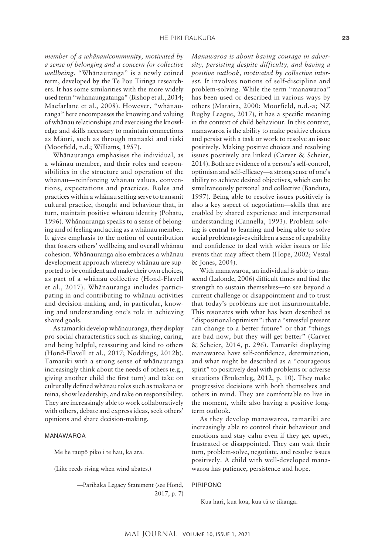*member of a whänau/community, motivated by a sense of belonging and a concern for collective wellbeing.* "Whänauranga" is a newly coined term, developed by the Te Pou Tiringa researchers. It has some similarities with the more widely used term "whanaungatanga" (Bishop et al., 2014; Macfarlane et al., 2008). However, "whänauranga" here encompasses the knowing and valuing of whänau relationships and exercising the knowledge and skills necessary to maintain connections as Mäori, such as through manaaki and tiaki (Moorfield, n.d.; Williams, 1957).

Whänauranga emphasises the individual, as a whänau member, and their roles and responsibilities in the structure and operation of the whänau—reinforcing whänau values, conventions, expectations and practices. Roles and practices within a whänau setting serve to transmit cultural practice, thought and behaviour that, in turn, maintain positive whänau identity (Pohatu, 1996). Whänauranga speaks to a sense of belonging and of feeling and acting as a whänau member. It gives emphasis to the notion of contribution that fosters others' wellbeing and overall whänau cohesion. Whänauranga also embraces a whänau development approach whereby whänau are supported to be confident and make their own choices, as part of a whänau collective (Hond-Flavell et al., 2017). Whänauranga includes participating in and contributing to whänau activities and decision-making and, in particular, knowing and understanding one's role in achieving shared goals.

As tamariki develop whänauranga, they display pro-social characteristics such as sharing, caring, and being helpful, reassuring and kind to others (Hond-Flavell et al., 2017; Noddings, 2012b). Tamariki with a strong sense of whänauranga increasingly think about the needs of others (e.g., giving another child the first turn) and take on culturally defined whänau roles such as tuakana or teina, show leadership, and take on responsibility. They are increasingly able to work collaboratively with others, debate and express ideas, seek others' opinions and share decision-making.

#### MANAWAROA

Me he raupö piko i te hau, ka ara.

(Like reeds rising when wind abates.)

—Parihaka Legacy Statement (see Hond, 2017, p. 7)

*Manawaroa is about having courage in adversity, persisting despite difficulty, and having a positive outlook, motivated by collective interest.* It involves notions of self-discipline and problem-solving. While the term "manawaroa" has been used or described in various ways by others (Mataira, 2000; Moorfield, n.d.-a; NZ Rugby League, 2017), it has a specific meaning in the context of child behaviour. In this context, manawaroa is the ability to make positive choices and persist with a task or work to resolve an issue positively. Making positive choices and resolving issues positively are linked (Carver & Scheier, 2014). Both are evidence of a person's self-control, optimism and self-efficacy—a strong sense of one's ability to achieve desired objectives, which can be simultaneously personal and collective (Bandura, 1997). Being able to resolve issues positively is also a key aspect of negotiation—skills that are enabled by shared experience and interpersonal understanding (Cannella, 1993). Problem solving is central to learning and being able to solve social problems gives children a sense of capability and confidence to deal with wider issues or life events that may affect them (Hope, 2002; Vestal & Jones, 2004).

With manawaroa, an individual is able to transcend (Lalonde, 2006) difficult times and find the strength to sustain themselves—to see beyond a current challenge or disappointment and to trust that today's problems are not insurmountable. This resonates with what has been described as "dispositional optimism": that a "stressful present can change to a better future" or that "things are bad now, but they will get better" (Carver & Scheier, 2014, p. 296). Tamariki displaying manawaroa have self-confidence, determination, and what might be described as a "courageous spirit" to positively deal with problems or adverse situations (Brokenleg, 2012, p. 10). They make progressive decisions with both themselves and others in mind. They are comfortable to live in the moment, while also having a positive longterm outlook.

As they develop manawaroa, tamariki are increasingly able to control their behaviour and emotions and stay calm even if they get upset, frustrated or disappointed. They can wait their turn, problem-solve, negotiate, and resolve issues positively. A child with well-developed manawaroa has patience, persistence and hope.

PIRIPONO

Kua hari, kua koa, kua tü te tikanga.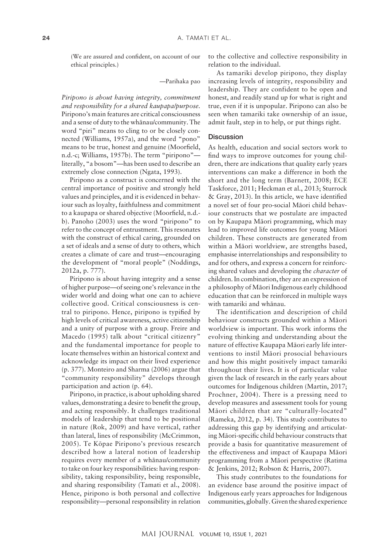(We are assured and confident, on account of our ethical principles.)

—Parihaka pao

*Piripono is about having integrity, commitment and responsibility for a shared kaupapa/purpose.* Piripono's main features are critical consciousness and a sense of duty to the whänau/community. The word "piri" means to cling to or be closely connected (Williams, 1957a), and the word "pono" means to be true, honest and genuine (Moorfield, n.d.-c; Williams, 1957b). The term "piripono" literally, "a bosom"—has been used to describe an extremely close connection (Ngata, 1993).

Piripono as a construct is concerned with the central importance of positive and strongly held values and principles, and it is evidenced in behaviour such as loyalty, faithfulness and commitment to a kaupapa or shared objective (Moorfield, n.d. b). Panoho (2003) uses the word "piripono" to refer to the concept of entrustment. This resonates with the construct of ethical caring, grounded on a set of ideals and a sense of duty to others, which creates a climate of care and trust—encouraging the development of "moral people" (Noddings, 2012a, p. 777).

Piripono is about having integrity and a sense of higher purpose—of seeing one's relevance in the wider world and doing what one can to achieve collective good. Critical consciousness is central to piripono. Hence, piripono is typified by high levels of critical awareness, active citizenship and a unity of purpose with a group. Freire and Macedo (1995) talk about "critical citizenry" and the fundamental importance for people to locate themselves within an historical context and acknowledge its impact on their lived experience (p. 377). Monteiro and Sharma (2006) argue that "community responsibility" develops through participation and action (p. 64).

Piripono, in practice, is about upholding shared values, demonstrating a desire to benefit the group, and acting responsibly. It challenges traditional models of leadership that tend to be positional in nature (Rok, 2009) and have vertical, rather than lateral, lines of responsibility (McCrimmon, 2005). Te Köpae Piripono's previous research described how a lateral notion of leadership requires every member of a whänau/community to take on four key responsibilities: having responsibility, taking responsibility, being responsible, and sharing responsibility (Tamati et al., 2008). Hence, piripono is both personal and collective responsibility—personal responsibility in relation

to the collective and collective responsibility in relation to the individual.

As tamariki develop piripono, they display increasing levels of integrity, responsibility and leadership. They are confident to be open and honest, and readily stand up for what is right and true, even if it is unpopular. Piripono can also be seen when tamariki take ownership of an issue, admit fault, step in to help, or put things right.

#### **Discussion**

As health, education and social sectors work to find ways to improve outcomes for young children, there are indications that quality early years interventions can make a difference in both the short and the long term (Barnett, 2008; ECE Taskforce, 2011; Heckman et al., 2013; Sturrock & Gray, 2013). In this article, we have identified a novel set of four pro-social Mäori child behaviour constructs that we postulate are impacted on by Kaupapa Mäori programming, which may lead to improved life outcomes for young Mäori children. These constructs are generated from within a Mäori worldview, are strengths based, emphasise interrelationships and responsibility to and for others, and express a concern for reinforcing shared values and developing the *character* of children. In combination, they are an expression of a philosophy of Mäori Indigenous early childhood education that can be reinforced in multiple ways with tamariki and whänau.

The identification and description of child behaviour constructs grounded within a Mäori worldview is important. This work informs the evolving thinking and understanding about the nature of effective Kaupapa Mäori early life interventions to instil Mäori prosocial behaviours and how this might positively impact tamariki throughout their lives. It is of particular value given the lack of research in the early years about outcomes for Indigenous children (Martin, 2017; Prochner, 2004). There is a pressing need to develop measures and assessment tools for young Mäori children that are "culturally-located" (Rameka, 2012, p. 34). This study contributes to addressing this gap by identifying and articulating Mäori-specific child behaviour constructs that provide a basis for quantitative measurement of the effectiveness and impact of Kaupapa Mäori programming from a Mäori perspective (Ratima & Jenkins, 2012; Robson & Harris, 2007).

This study contributes to the foundations for an evidence base around the positive impact of Indigenous early years approaches for Indigenous communities, globally. Given the shared experience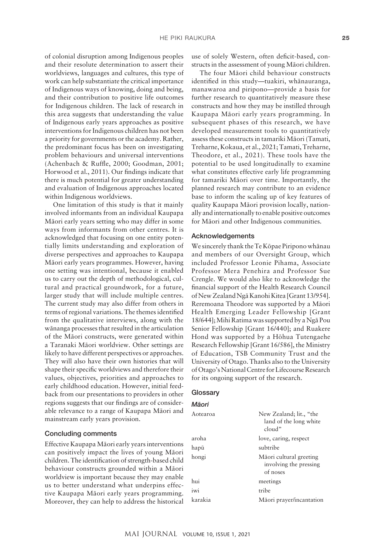of colonial disruption among Indigenous peoples and their resolute determination to assert their worldviews, languages and cultures, this type of work can help substantiate the critical importance of Indigenous ways of knowing, doing and being, and their contribution to positive life outcomes for Indigenous children. The lack of research in this area suggests that understanding the value of Indigenous early years approaches as positive interventions for Indigenous children has not been a priority for governments or the academy. Rather, the predominant focus has been on investigating problem behaviours and universal interventions (Achenbach & Ruffle, 2000; Goodman, 2001; Horwood et al., 2011). Our findings indicate that there is much potential for greater understanding and evaluation of Indigenous approaches located within Indigenous worldviews.

One limitation of this study is that it mainly involved informants from an individual Kaupapa Mäori early years setting who may differ in some ways from informants from other centres. It is acknowledged that focusing on one entity potentially limits understanding and exploration of diverse perspectives and approaches to Kaupapa Mäori early years programmes. However, having one setting was intentional, because it enabled us to carry out the depth of methodological, cultural and practical groundwork, for a future, larger study that will include multiple centres. The current study may also differ from others in terms of regional variations. The themes identified from the qualitative interviews, along with the wänanga processes that resulted in the articulation of the Mäori constructs, were generated within a Taranaki Mäori worldview. Other settings are likely to have different perspectives or approaches. They will also have their own histories that will shape their specific worldviews and therefore their values, objectives, priorities and approaches to early childhood education. However, initial feedback from our presentations to providers in other regions suggests that our findings are of considerable relevance to a range of Kaupapa Mäori and mainstream early years provision.

#### Concluding comments

Effective Kaupapa Mäori early years interventions can positively impact the lives of young Mäori children. The identification of strength-based child behaviour constructs grounded within a Mäori worldview is important because they may enable us to better understand what underpins effective Kaupapa Mäori early years programming. Moreover, they can help to address the historical use of solely Western, often deficit-based, constructs in the assessment of young Mäori children.

The four Mäori child behaviour constructs identified in this study—tuakiri, whänauranga, manawaroa and piripono—provide a basis for further research to quantitatively measure these constructs and how they may be instilled through Kaupapa Mäori early years programming. In subsequent phases of this research, we have developed measurement tools to quantitatively assess these constructs in tamariki Mäori (Tamati, Treharne, Kokaua, et al., 2021; Tamati, Treharne, Theodore, et al., 2021). These tools have the potential to be used longitudinally to examine what constitutes effective early life programming for tamariki Mäori over time. Importantly, the planned research may contribute to an evidence base to inform the scaling up of key features of quality Kaupapa Mäori provision locally, nationally and internationally to enable positive outcomes for Mäori and other Indigenous communities.

#### Acknowledgements

We sincerely thank the Te Köpae Piripono whänau and members of our Oversight Group, which included Professor Leonie Pihama, Associate Professor Mera Penehira and Professor Sue Crengle. We would also like to acknowledge the financial support of the Health Research Council of NewZealand Ngä Kanohi Kitea [Grant 13/954]. Reremoana Theodore was supported by a Mäori Health Emerging Leader Fellowship [Grant 18/644]; Mihi Ratima was supported by a Ngä Pou Senior Fellowship [Grant 16/440]; and Ruakere Hond was supported by a Höhua Tutengaehe Research Fellowship [Grant 16/586], the Ministry of Education, TSB Community Trust and the University of Otago. Thanks also to the University of Otago's National Centre for Lifecourse Research for its ongoing support of the research.

## **Glossary**

*M¯aori*

| New Zealand; lit., "the<br>land of the long white<br>cloud"   |
|---------------------------------------------------------------|
| love, caring, respect                                         |
| subtribe                                                      |
| Māori cultural greeting<br>involving the pressing<br>of noses |
| meetings                                                      |
| tribe                                                         |
| Māori prayer/incantation                                      |
|                                                               |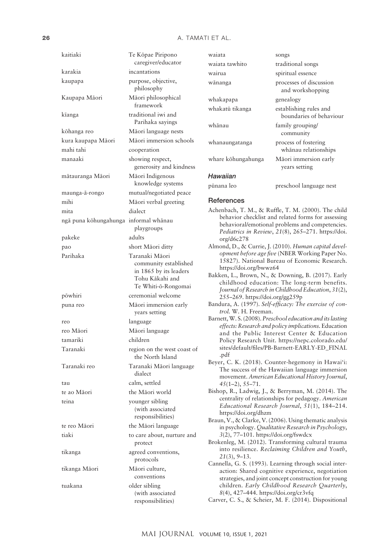#### 26 A. TAMATI ET AL.

| kaitiaki                              | Te Kōpae Piripono<br>caregiver/educator                                                   |
|---------------------------------------|-------------------------------------------------------------------------------------------|
| karakia                               | incantations                                                                              |
| kaupapa                               | purpose, objective,<br>philosophy                                                         |
| Kaupapa Māori                         | Māori philosophical<br>framework                                                          |
| kīanga                                | traditional iwi and<br>Parihaka sayings                                                   |
| kōhanga reo                           | Māori language nests                                                                      |
| kura kaupapa Māori                    | Māori immersion schools                                                                   |
| mahi tahi                             | cooperation                                                                               |
| manaaki                               | showing respect,                                                                          |
|                                       | generosity and kindness                                                                   |
| mātauranga Māori                      | Māori Indigenous<br>knowledge systems                                                     |
| maunga-ā-rongo                        | mutual/negotiated peace                                                                   |
| mihi                                  | Māori verbal greeting                                                                     |
| mita                                  | dialect                                                                                   |
| ngā puna kōhungahunga informal whānau | playgroups                                                                                |
| pakeke                                | adults                                                                                    |
| pao                                   | short Māori ditty                                                                         |
| Parihaka                              | Taranaki Māori                                                                            |
|                                       | community established<br>in 1865 by its leaders<br>Tohu Kākahi and<br>Te Whiti-ō-Rongomai |
| pōwhiri                               | ceremonial welcome                                                                        |
| puna reo                              | Māori immersion early<br>years setting                                                    |
| reo                                   | language                                                                                  |
| reo Māori                             | Māori language                                                                            |
| tamariki                              | children                                                                                  |
| Taranaki                              | region on the west coast of<br>the North Island                                           |
| Taranaki reo                          | Taranaki Māori language<br>dialect                                                        |
| tau                                   | calm, settled                                                                             |
| te ao Māori                           | the Māori world                                                                           |
| teina                                 | younger sibling<br>(with associated<br>responsibilities)                                  |
| te reo Māori                          | the Māori language                                                                        |
| tiaki                                 | to care about, nurture and<br>protect                                                     |
| tikanga                               | agreed conventions,<br>protocols                                                          |
| tikanga Māori                         | Māori culture,<br>conventions                                                             |
| tuakana                               | older sibling<br>(with associated                                                         |

| waiata             | songs                                             |
|--------------------|---------------------------------------------------|
| waiata tawhito     | traditional songs                                 |
| wairua             | spiritual essence                                 |
| wānanga            | processes of discussion<br>and workshopping       |
| whakapapa          | genealogy                                         |
| whakatū tikanga    | establishing rules and<br>boundaries of behaviour |
| whānau             | family grouping/<br>community                     |
| whanaungatanga     | process of fostering<br>whānau relationships      |
| whare kōhungahunga | Māori immersion early<br>years setting            |
| Hawaiian           |                                                   |
| pūnana leo         | preschool language nest                           |
| References         |                                                   |

- Achenbach, T. M., & Ruffle, T. M. (2000). The child behavior checklist and related forms for assessing behavioral/emotional problems and competencies. *Pediatrics in Review*, *21*(8), 265–271. [https://doi.](https://doi.org/d6c278) [org/d6c278](https://doi.org/d6c278)
- Almond, D., & Currie, J. (2010). *Human capital development before age five* (NBER Working Paper No. 15827). National Bureau of Economic Research. <https://doi.org/bwwz64>

Bakken, L., Brown, N., & Downing, B. (2017). Early childhood education: The long-term benefits. *Journal of Research in Childhood Education*, *31*(2), 255–269. <https://doi.org/gg259p>

- Bandura, A. (1997). *Self-efficacy: The exercise of control.* W. H. Freeman.
- Barnett, W. S. (2008). *Preschool education and its lasting effects: Research and policy implications.* Education and the Public Interest Center & Education Policy Research Unit. [https://nepc.colorado.edu/](https://nepc.colorado.edu/sites/default/files/PB-Barnett-EARLY-ED_FINAL.pdf) [sites/default/files/PB-Barnett-EARLY-ED\\_FINAL](https://nepc.colorado.edu/sites/default/files/PB-Barnett-EARLY-ED_FINAL.pdf) [.pdf](https://nepc.colorado.edu/sites/default/files/PB-Barnett-EARLY-ED_FINAL.pdf)
- Beyer, C. K. (2018). Counter-hegemony in Hawai'i: The success of the Hawaiian language immersion movement. *American Educational History Journal*, *45*(1–2), 55–71.

Bishop, R., Ladwig, J., & Berryman, M. (2014). The centrality of relationships for pedagogy. *American Educational Research Journal*, *51*(1), 184–214. <https://doi.org/dhzm>

Braun, V., & Clarke, V. (2006). Using thematic analysis in psychology. *Qualitative Research in Psychology*, *3*(2), 77–101. <https://doi.org/fswdcx>

Brokenleg, M. (2012). Transforming cultural trauma into resilience. *Reclaiming Children and Youth*, *21*(3), 9–13.

Cannella, G. S. (1993). Learning through social interaction: Shared cognitive experience, negotiation strategies, and joint concept construction for young children. *Early Childhood Research Quarterly*, *8*(4), 427–444. <https://doi.org/cr3vfq>

Carver, C. S., & Scheier, M. F. (2014). Dispositional

responsibilities)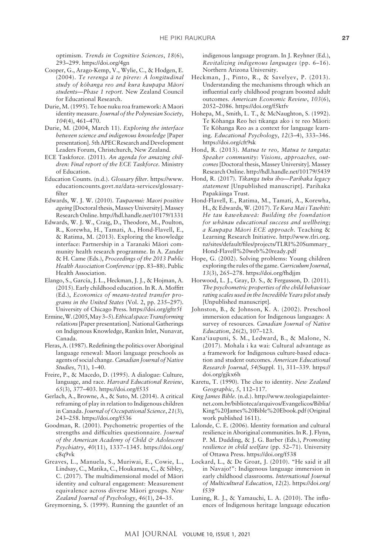optimism. *Trends in Cognitive Sciences*, *18*(6), 293–299. <https://doi.org/4gn>

- Cooper, G., Arago-Kemp, V., Wylie, C., & Hodgen, E. (2004). *Te rerenga ä te pïrere: A longitudinal study of köhanga reo and kura kaupapa Mäori students—Phase 1 report.* New Zealand Council for Educational Research.
- Durie, M. (1995). Te hoe nuku roa framework: A Maori identity measure. *Journal of the Polynesian Society*, *104*(4), 461–470.
- Durie, M. (2004, March 11). *Exploring the interface between science and indigenous knowledge* [Paper presentation]. 5th APEC Research and Development Leaders Forum, Christchurch, New Zealand.
- ECE Taskforce. (2011). *An agenda for amazing children: Final report of the ECE Taskforce.* Ministry of Education.
- Education Counts. (n.d.). *Glossary filter.* [https://www.](https://www.educationcounts.govt.nz/data-services/glossary-filter) [educationcounts.govt.nz/data-services/glossary](https://www.educationcounts.govt.nz/data-services/glossary-filter)[filter](https://www.educationcounts.govt.nz/data-services/glossary-filter)
- Edwards, W. J. W. (2010). *Taupaenui: Maori positive ageing* [Doctoral thesis, Massey University]. Massey Research Online.<http://hdl.handle.net/10179/1331>
- Edwards, W. J. W., Craig, D., Theodore, M., Poulton, R., Korewha, H., Tamati, A., Hond-Flavell, E., & Ratima, M. (2013). Exploring the knowledge interface: Partnership in a Taranaki Mäori community health research programme. In A. Zander & H. Came (Eds.), *Proceedings of the 2013 Public Health Association Conference* (pp. 83–88). Public Health Association.
- Elango, S., García, J. L., Heckman, J. J., & Hojman, A. (2015). Early childhood education. In R. A. Moffitt (Ed.), *Economics of means-tested transfer programs in the United States* (Vol. 2, pp. 235–297). University of Chicago Press. <https://doi.org/gftr5f>
- Ermine, W. (2005, May 3–5). *Ethical space: Transforming relations* [Paper presentation]. National Gatherings on Indigenous Knowledge, Rankin Inlet, Nunavat, Canada.
- Fleras, A. (1987). Redefining the politics over Aboriginal language renewal: Maori language preschools as agents of social change. *Canadian Journal of Native Studies*, *7*(1), 1–40.
- Freire, P., & Macedo, D. (1995). A dialogue: Culture, language, and race. *Harvard Educational Review*, *65*(3), 377–403. <https://doi.org/f535>
- Gerlach, A., Browne, A., & Suto, M. (2014). A critical reframing of play in relation to Indigenous children in Canada. *Journal of Occupational Science*, *21*(3), 243–258. <https://doi.org/f536>
- Goodman, R. (2001). Psychometric properties of the strengths and difficulties questionnaire. *Journal of the American Academy of Child & Adolescent Psychiatry*, *40*(11), 1337–1345. [https://doi.org/](https://doi.org/c8q9vk) [c8q9vk](https://doi.org/c8q9vk)
- Greaves, L., Manuela, S., Muriwai, E., Cowie, L., Lindsay, C., Matika, C., Houkamau, C., & Sibley, C. (2017). The multidimensional model of Mäori identity and cultural engagement: Measurement equivalence across diverse Mäori groups. *New Zealand Journal of Psychology*, *46*(1), 24–35.
- Greymorning, S. (1999). Running the gauntlet of an

indigenous language program. In J. Reyhner (Ed.), *Revitalizing indigenous languages* (pp. 6–16). Northern Arizona University.

- Heckman, J., Pinto, R., & Savelyev, P. (2013). Understanding the mechanisms through which an influential early childhood program boosted adult outcomes. *American Economic Review*, *103*(6), 2052–2086.<https://doi.org/f5ktfv>
- Hohepa, M., Smith, L. T., & McNaughton, S. (1992). Te Köhanga Reo hei tikanga ako i te reo Mäori: Te Köhanga Reo as a context for language learning. *Educational Psychology*, *12*(3–4), 333–346. <https://doi.org/cft9sk>
- Hond, R. (2013). *Matua te reo, Matua te tangata: Speaker community: Visions, approaches, outcomes* [Doctoral thesis, Massey University]. Massey Research Online.<http://hdl.handle.net/10179/5439>
- Hond, R. (2017). *Tikanga tuku iho—Parihaka legacy statement* [Unpublished manuscript]. Parihaka Papakäinga Trust.
- Hond-Flavell, E., Ratima, M., Tamati, A., Korewha, H., & Edwards, W. (2017). *Te Kura Mai i Tawhiti: He tau kawekaweä: Building the foundation for whänau educational success and wellbeing; a Kaupapa Mäori ECE approach.* Teaching & Learning Research Initiative. [http://www.tlri.org.](http://www.tlri.org.nz/sites/default/files/projects/TLRI%20Summary_Hond-Flavell%20web%20ready.pdf) [nz/sites/default/files/projects/TLRI%20Summary\\_](http://www.tlri.org.nz/sites/default/files/projects/TLRI%20Summary_Hond-Flavell%20web%20ready.pdf) [Hond-Flavell%20web%20ready.pdf](http://www.tlri.org.nz/sites/default/files/projects/TLRI%20Summary_Hond-Flavell%20web%20ready.pdf)
- Hope, G. (2002). Solving problems: Young children exploring the rules of the game. *Curriculum Journal*, *13*(3), 265–278.<https://doi.org/fhdjjm>
- Horwood, L. J., Gray, D. S., & Fergusson, D. (2011). *The psychometric properties of the child behaviour rating scales used in the Incredible Years pilot study* [Unpublished manuscript].
- Johnston, B., & Johnson, K. A. (2002). Preschool immersion education for Indigenous languages: A survey of resources. *Canadian Journal of Native Education*, *26*(2), 107–123.
- Kana'iaupuni, S. M., Ledward, B., & Malone, N. (2017). Mohala i ka wai: Cultural advantage as a framework for Indigenous culture-based education and student outcomes. *American Educational Research Journal*, *54*(Suppl. 1), 311–339. [https://](https://doi.org/gjkx6h) [doi.org/gjkx6h](https://doi.org/gjkx6h)
- Karetu, T. (1990). The clue to identity. *New Zealand Geographic*, *5*, 112–117.
- *King James Bible.* (n.d.). [http://www.teologiapelainter](http://www.teologiapelainternet.com.br/biblioteca/arquivos/Evangelicos/Biblia/King%20James%20Bible%20Ebook.pdf)[net.com.br/biblioteca/arquivos/Evangelicos/Biblia/](http://www.teologiapelainternet.com.br/biblioteca/arquivos/Evangelicos/Biblia/King%20James%20Bible%20Ebook.pdf) [King%20James%20Bible%20Ebook.pdf](http://www.teologiapelainternet.com.br/biblioteca/arquivos/Evangelicos/Biblia/King%20James%20Bible%20Ebook.pdf) (Original work published 1611).
- Lalonde, C. E. (2006). Identity formation and cultural resilience in Aboriginal communities. In R. J. Flynn, P. M. Dudding, & J. G. Barber (Eds.), *Promoting resilience in child welfare* (pp. 52–71). University of Ottawa Press. <https://doi.org/f538>
- Lockard, L., & De Groat, J. (2010). "He said it all in Navajo!": Indigenous language immersion in early childhood classrooms. *International Journal of Multicultural Education*, *12*(2). [https://doi.org/](https://doi.org/f539) [f539](https://doi.org/f539)
- Luning, R. J., & Yamauchi, L. A. (2010). The influences of Indigenous heritage language education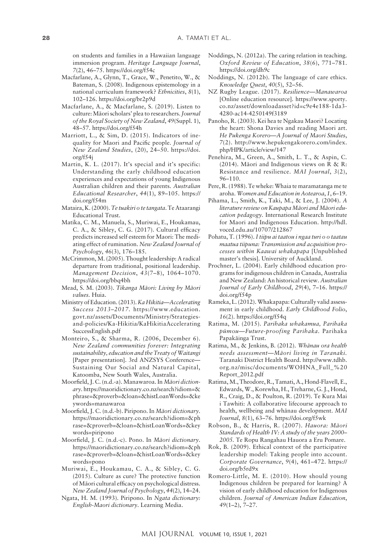on students and families in a Hawaiian language immersion program. *Heritage Language Journal*, *7*(2), 46–75.<https://doi.org/f54c>

- Macfarlane, A., Glynn, T., Grace, W., Penetito, W., & Bateman, S. (2008). Indigenous epistemology in a national curriculum framework? *Ethnicities*, *8*(1), 102–126.<https://doi.org/br2p9d>
- Macfarlane, A., & Macfarlane, S. (2019). Listen to culture: Mäori scholars' plea to researchers. *Journal of the Royal Society of New Zealand*, *49*(Suppl. 1), 48–57.<https://doi.org/f54h>
- Marriott, L., & Sim, D. (2015). Indicators of inequality for Maori and Pacific people. *Journal of New Zealand Studies*, (20), 24–50. [https://doi.](https://doi.org/f54j) [org/f54j](https://doi.org/f54j)
- Martin, K. L. (2017). It's special and it's specific: Understanding the early childhood education experiences and expectations of young Indigenous Australian children and their parents. *Australian Educational Researcher*, *44*(1), 89–105. [https://](https://doi.org/f54m) [doi.org/f54m](https://doi.org/f54m)
- Mataira, K. (2000). *Te tuakiri o te tangata*. Te Ataarangi Educational Trust.
- Matika, C. M., Manuela, S., Muriwai, E., Houkamau, C. A., & Sibley, C. G. (2017). Cultural efficacy predicts increased self esteem for Maori: The mediating effect of rumination. *New Zealand Journal of Psychology*, *46*(3), 176–185.
- McCrimmon, M. (2005). Thought leadership: A radical departure from traditional, positional leadership. *Management Decision*, *43*(7–8), 1064–1070. <https://doi.org/bbq4bh>
- Mead, S. M. (2003). *Tikanga Mäori: Living by Mäori values.* Huia.
- Ministry of Education. (2013). *Ka Hikitia—Accelerating Success 2013–2017.* [https://www.education.](https://www.education.govt.nz/assets/Documents/Ministry/Strategies-and-policies/Ka-Hikitia/KaHikitiaAcceleratingSuccessEnglish.pdf) [govt.nz/assets/Documents/Ministry/Strategies](https://www.education.govt.nz/assets/Documents/Ministry/Strategies-and-policies/Ka-Hikitia/KaHikitiaAcceleratingSuccessEnglish.pdf)[and-policies/Ka-Hikitia/KaHikitiaAccelerating](https://www.education.govt.nz/assets/Documents/Ministry/Strategies-and-policies/Ka-Hikitia/KaHikitiaAcceleratingSuccessEnglish.pdf) [SuccessEnglish.pdf](https://www.education.govt.nz/assets/Documents/Ministry/Strategies-and-policies/Ka-Hikitia/KaHikitiaAcceleratingSuccessEnglish.pdf)
- Monteiro, S., & Sharma, R. (2006, December 6). *New Zealand communities forever: Integrating sustainability, education and the Treaty of Waitangi* [Paper presentation]. 3rd ANZSYS Conference— Sustaining Our Social and Natural Capital, Katoomba, New South Wales, Australia.
- Moorfield, J. C. (n.d.-a). Manawaroa. In *Mäori dictionary*. [https://maoridictionary.co.nz/search?idiom=&](https://maoridictionary.co.nz/search?idiom=&phrase=&proverb=&loan=&histLoanWords=&keywords=manawaroa) [phrase=&proverb=&loan=&histLoanWords=&ke](https://maoridictionary.co.nz/search?idiom=&phrase=&proverb=&loan=&histLoanWords=&keywords=manawaroa) [ywords=manawaroa](https://maoridictionary.co.nz/search?idiom=&phrase=&proverb=&loan=&histLoanWords=&keywords=manawaroa)
- Moorfield, J. C. (n.d.-b). Piripono. In *Mäori dictionary*. [https://maoridictionary.co.nz/search?idiom=&ph](https://maoridictionary.co.nz/search?idiom=&phrase=&proverb=&loan=&histLoanWords=&keywords=piripono) [rase=&proverb=&loan=&histLoanWords=&key](https://maoridictionary.co.nz/search?idiom=&phrase=&proverb=&loan=&histLoanWords=&keywords=piripono) [words=piripono](https://maoridictionary.co.nz/search?idiom=&phrase=&proverb=&loan=&histLoanWords=&keywords=piripono)
- Moorfield, J. C. (n.d.-c). Pono. In *Mäori dictionary*. [https://maoridictionary.co.nz/search?idiom=&ph](https://maoridictionary.co.nz/search?idiom=&phrase=&proverb=&loan=&histLoanWords=&keywords=pono) [rase=&proverb=&loan=&histLoanWords=&key](https://maoridictionary.co.nz/search?idiom=&phrase=&proverb=&loan=&histLoanWords=&keywords=pono) [words=pono](https://maoridictionary.co.nz/search?idiom=&phrase=&proverb=&loan=&histLoanWords=&keywords=pono)
- Muriwai, E., Houkamau, C. A., & Sibley, C. G. (2015). Culture as cure? The protective function of Mäori cultural efficacy on psychological distress. *New Zealand Journal of Psychology*, *44*(2), 14–24.
- Ngata, H. M. (1993). Piripono. In *Ngata dictionary: English-Maori dictionary*. Learning Media.
- Noddings, N. (2012a). The caring relation in teaching. *Oxford Review of Education*, *38*(6), 771–781. <https://doi.org/dh9c>
- Noddings, N. (2012b). The language of care ethics. *Knowledge Quest*, *40*(5), 52–56.
- NZ Rugby League. (2017). *Resilience—Manawaroa* [Online education resource]. [https://www.sporty.](https://www.sporty.co.nz/asset/downloadasset?id=c9e4e188-­1da3-­4280-­ac14-­4250149f3189) [co.nz/asset/downloadasset?id=c9e4e188-1da3-](https://www.sporty.co.nz/asset/downloadasset?id=c9e4e188-­1da3-­4280-­ac14-­4250149f3189) [4280-ac14-4250149f3189](https://www.sporty.co.nz/asset/downloadasset?id=c9e4e188-­1da3-­4280-­ac14-­4250149f3189)
- Panoho, R. (2003). Kei hea te Ngakau Maori? Locating the heart: Shona Davies and reading Maori art. *He Pukenga Korero—A Journal of Maori Studies*, *7*(2). [http://www.hepukengakorero.com/index.](http://www.hepukengakorero.com/index.php/HPK/article/view/147) [php/HPK/article/view/147](http://www.hepukengakorero.com/index.php/HPK/article/view/147)
- Penehira, M., Green, A., Smith, L. T., & Aspin, C. (2014). Mäori and Indigenous views on R & R: Resistance and resilience. *MAI Journal*, *3*(2), 96–110.
- Pere, R. (1988). Te wheke: Whaia te maramatanga me te aroha. *Women and Education in Aotearoa*, *1*, 6–19.
- Pihama, L., Smith, K., Taki, M., & Lee, J. (2004). *A literature review on Kaupapa Mäori and Mäori education pedagogy.* International Research Institute for Maori and Indigenous Education. [http://hdl.](http://hdl.voced.edu.au/10707/212867) [voced.edu.au/10707/212867](http://hdl.voced.edu.au/10707/212867)
- Pohatu, T. (1996). *I tiipu ai taatou i ngaa turi o o taatau maatua tiipuna: Transmission and acquisition processes within Kaawai whakapapa* [Unpublished master's thesis]. University of Auckland.
- Prochner, L. (2004). Early childhood education programs for indigenous children in Canada, Australia and New Zealand: An historical review. *Australian Journal of Early Childhood*, *29*(4), 7–16. [https://](https://doi.org/f54p) [doi.org/f54p](https://doi.org/f54p)
- Rameka, L. (2012). Whakapapa: Culturally valid assessment in early childhood. *Early Childhood Folio*, *16*(2).<https://doi.org/f54q>
- Ratima, M. (2015). *Parihaka whakamua, Parihaka pümou—Future-proofing Parihaka.* Parihaka Papakäinga Trust.
- Ratima, M., & Jenkins, B. (2012). *Whänau ora health needs assessment—Mäori living in Taranaki.* Taranaki District Health Board. [http://www.tdhb.](http://www.tdhb.org.nz/misc/documents/WOHNA_Full_%20Report_2012.pdf) [org.nz/misc/documents/WOHNA\\_Full\\_%20](http://www.tdhb.org.nz/misc/documents/WOHNA_Full_%20Report_2012.pdf) [Report\\_2012.pdf](http://www.tdhb.org.nz/misc/documents/WOHNA_Full_%20Report_2012.pdf)
- Ratima, M., Theodore, R., Tamati, A., Hond-Flavell, E., Edwards, W., Korewha, H., Treharne, G.J., Hond, R., Craig, D., & Poulton, R. (2019). Te Kura Mai i Tawhiti: A collaborative lifecourse approach to health, wellbeing and whänau development. *MAI Journal*, *8*(1), 63–76. https://doi.org/f5wk
- Robson, B., & Harris, R. (2007). *Hauora: Mäori Standards of Health IV: A study of the years 2000– 2005.* Te Ropu Rangahau Hauora a Eru Pomare.
- Rok, B. (2009). Ethical context of the participative leadership model: Taking people into account. *Corporate Governance*, *9*(4), 461–472. [https://](https://doi.org/b5rd9x) [doi.org/b5rd9x](https://doi.org/b5rd9x)
- Romero-Little, M. E. (2010). How should young Indigenous children be prepared for learning? A vision of early childhood education for Indigenous children. *Journal of American Indian Education*, *49*(1–2), 7–27.